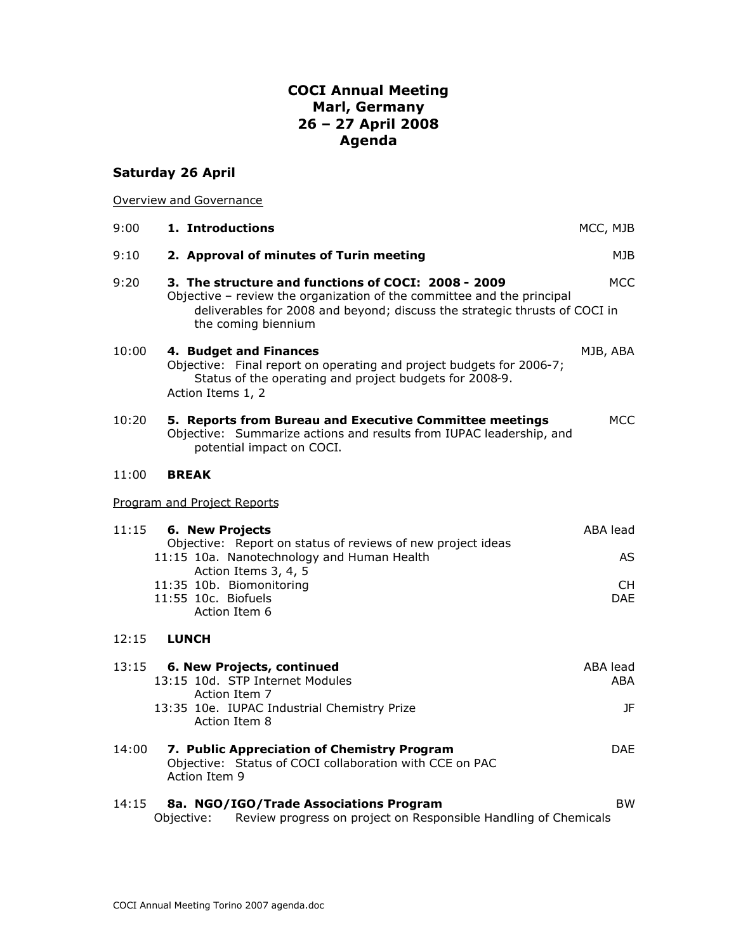# **COCI Annual Meeting Marl, Germany 26 – 27 April 2008 Agenda**

# **Saturday 26 April**

|       | <b>Overview and Governance</b>                                                                                                                                                                                                     |                                    |
|-------|------------------------------------------------------------------------------------------------------------------------------------------------------------------------------------------------------------------------------------|------------------------------------|
| 9:00  | 1. Introductions                                                                                                                                                                                                                   | MCC, MJB                           |
| 9:10  | 2. Approval of minutes of Turin meeting                                                                                                                                                                                            | MJB                                |
| 9:20  | 3. The structure and functions of COCI: 2008 - 2009<br>Objective - review the organization of the committee and the principal<br>deliverables for 2008 and beyond; discuss the strategic thrusts of COCI in<br>the coming biennium | MCC                                |
| 10:00 | 4. Budget and Finances<br>Objective: Final report on operating and project budgets for 2006-7;<br>Status of the operating and project budgets for 2008-9.<br>Action Items 1, 2                                                     | MJB, ABA                           |
| 10:20 | 5. Reports from Bureau and Executive Committee meetings<br>Objective: Summarize actions and results from IUPAC leadership, and<br>potential impact on COCI.                                                                        | <b>MCC</b>                         |
| 11:00 | <b>BREAK</b>                                                                                                                                                                                                                       |                                    |
|       | Program and Project Reports                                                                                                                                                                                                        |                                    |
| 11:15 | <b>6. New Projects</b><br>Objective: Report on status of reviews of new project ideas<br>11:15 10a. Nanotechnology and Human Health<br>Action Items 3, 4, 5<br>11:35 10b. Biomonitoring<br>11:55 10c. Biofuels<br>Action Item 6    | ABA lead<br>AS<br>СH<br><b>DAE</b> |
| 12:15 | <b>LUNCH</b>                                                                                                                                                                                                                       |                                    |
| 13:15 | 6. New Projects, continued<br>13:15 10d. STP Internet Modules<br>Action Item 7<br>13:35 10e. IUPAC Industrial Chemistry Prize<br>Action Item 8                                                                                     | ABA lead<br>ABA<br>JF              |
| 14:00 | 7. Public Appreciation of Chemistry Program<br>Objective: Status of COCI collaboration with CCE on PAC<br>Action Item 9                                                                                                            | <b>DAE</b>                         |
| 14:15 | 8a. NGO/IGO/Trade Associations Program                                                                                                                                                                                             | <b>BW</b>                          |

Objective: Review progress on project on Responsible Handling of Chemicals